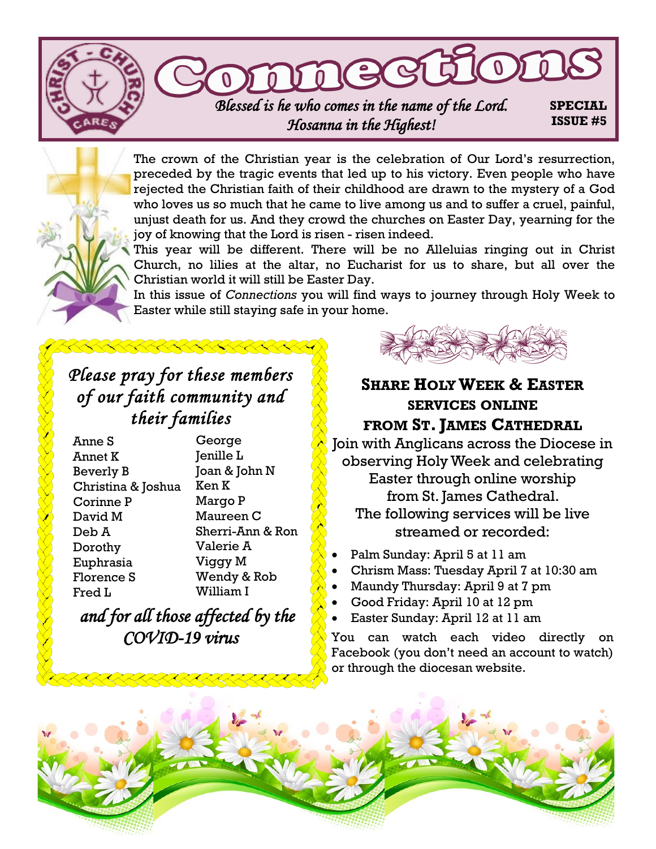

The crown of the Christian year is the celebration of Our Lord's resurrection, preceded by the tragic events that led up to his victory. Even people who have rejected the Christian faith of their childhood are drawn to the mystery of a God who loves us so much that he came to live among us and to suffer a cruel, painful, unjust death for us. And they crowd the churches on Easter Day, yearning for the joy of knowing that the Lord is risen - risen indeed.

This year will be different. There will be no Alleluias ringing out in Christ Church, no lilies at the altar, no Eucharist for us to share, but all over the Christian world it will still be Easter Day.

In this issue of *Connections* you will find ways to journey through Holy Week to Easter while still staying safe in your home.

# *Please pray for these members of our faith community and their families*

| Anne S             | George           |
|--------------------|------------------|
| Annet K            | Jenille L        |
| Beverly B          | Joan & John N    |
| Christina & Joshua | Ken K            |
| Corinne P          | Margo P          |
| David M            | Maureen C        |
| Deb A              | Sherri-Ann & Ron |
| Dorothy            | Valerie A        |
| Euphrasia          | Viggy M          |
| Florence S         | Wendy & Rob      |
| Fred L             | William I        |

*and for all those affected by the COVID-19 virus* 

# **SHARE HOLYWEEK & EASTER SERVICES ONLINE FROM ST. JAMES CATHEDRAL**

Join with Anglicans across the Diocese in observing Holy Week and celebrating Easter through online worship from St. James Cathedral. The following services will be live streamed or recorded:

- Palm Sunday: April 5 at 11 am
- Chrism Mass: Tuesday April 7 at 10:30 am
- Maundy Thursday: April 9 at 7 pm
- Good Friday: April 10 at 12 pm
- Easter Sunday: April 12 at 11 am

You can watch each video directly [on](https://www.facebook.com/torontoanglican/)  [Facebook](https://www.facebook.com/torontoanglican/) (you don't need an account to watch) or through the [diocesan website.](https://www.toronto.anglican.ca/2020/03/18/ante-communion-from-st-james-cathedral-march-22/)

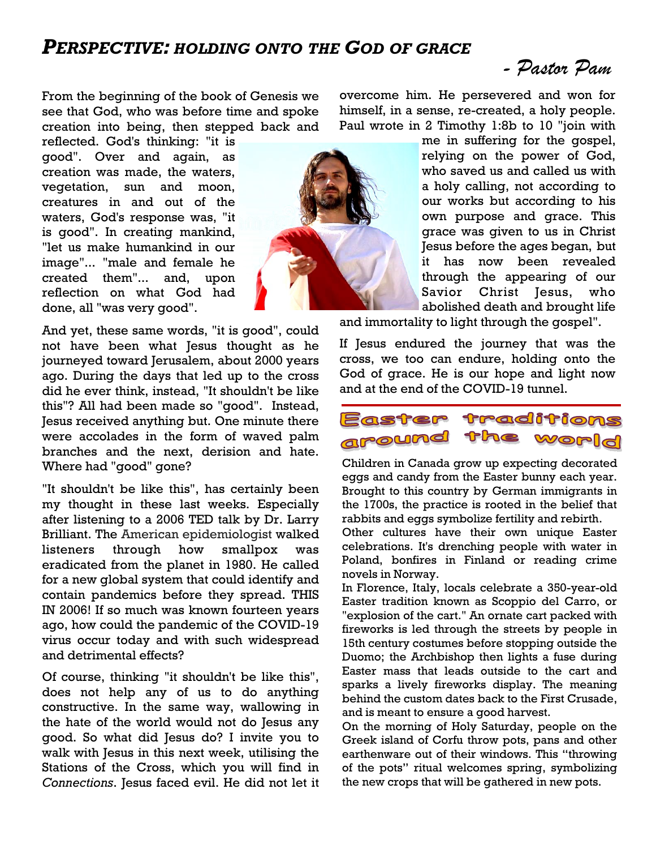### *PERSPECTIVE: HOLDING ONTO THE GOD OF GRACE*

*- Pastor Pam* 

From the beginning of the book of Genesis we see that God, who was before time and spoke creation into being, then stepped back and

reflected. God's thinking: "it is good". Over and again, as creation was made, the waters, vegetation, sun and moon, creatures in and out of the waters, God's response was, "it is good". In creating mankind, "let us make humankind in our image"... "male and female he created them"... and, upon reflection on what God had done, all "was very good".

And yet, these same words, "it is good", could not have been what Jesus thought as he journeyed toward Jerusalem, about 2000 years ago. During the days that led up to the cross did he ever think, instead, "It shouldn't be like this"? All had been made so "good". Instead, Jesus received anything but. One minute there were accolades in the form of waved palm branches and the next, derision and hate. Where had "good" gone?

"It shouldn't be like this", has certainly been my thought in these last weeks. Especially after listening to a 2006 TED talk by Dr. Larry Brilliant. The American epidemiologist walked listeners through how smallpox was eradicated from the planet in 1980. He called for a new global system that could identify and contain pandemics before they spread. THIS IN 2006! If so much was known fourteen years ago, how could the pandemic of the COVID-19 virus occur today and with such widespread and detrimental effects?

Of course, thinking "it shouldn't be like this", does not help any of us to do anything constructive. In the same way, wallowing in the hate of the world would not do Jesus any good. So what did Jesus do? I invite you to walk with Jesus in this next week, utilising the Stations of the Cross, which you will find in *Connections*. Jesus faced evil. He did not let it



me in suffering for the gospel, relying on the power of God, who saved us and called us with a holy calling, not according to our works but according to his own purpose and grace. This grace was given to us in Christ Jesus before the ages began, but it has now been revealed through the appearing of our Savior Christ Jesus, who abolished death and brought life

and immortality to light through the gospel".

If Jesus endured the journey that was the cross, we too can endure, holding onto the God of grace. He is our hope and light now and at the end of the COVID-19 tunnel.



Children in Canada grow up expecting [decorated](http://www.womansday.com/home/crafts-projects/g2216/easter-eggs/)  [eggs](http://www.womansday.com/home/crafts-projects/g2216/easter-eggs/) and [candy from the Easter bunny](http://www.womansday.com/food-recipes/food-drinks/g2201/easter-candy/) each year. Brought to this country by German immigrants in the 1700s, the practice is rooted in the belief that [rabbits and eggs symbolize fertility and rebirth.](http://www.womansday.com/life/a17092846/easter-bunny-history/)

Other cultures have their own unique Easter celebrations. It's drenching people with water in Poland, bonfires in Finland or reading crime novels in Norway.

In Florence, Italy, locals celebrate a 350-year-old Easter tradition known as Scoppio del Carro, or "explosion of the cart." An ornate cart packed with fireworks is led through the streets by people in 15th century costumes before stopping outside the Duomo; the Archbishop then lights a fuse during Easter mass that leads outside to the cart and sparks a lively fireworks display. The [meaning](https://www.visitflorence.com/florence-events/explosion-of-the-cart-easter.html)  [behind the custom dates back to the First Crusade,](https://www.visitflorence.com/florence-events/explosion-of-the-cart-easter.html) and is meant to ensure a good harvest.

On the morning of Holy Saturday, people on the Greek island of Corfu throw pots, pans and other earthenware out of their windows. This "throwing of the pots" ritual [welcomes spring,](https://www.countryliving.com/life/g3077/spring-quotes/) symbolizing the new crops that will be gathered in new pots.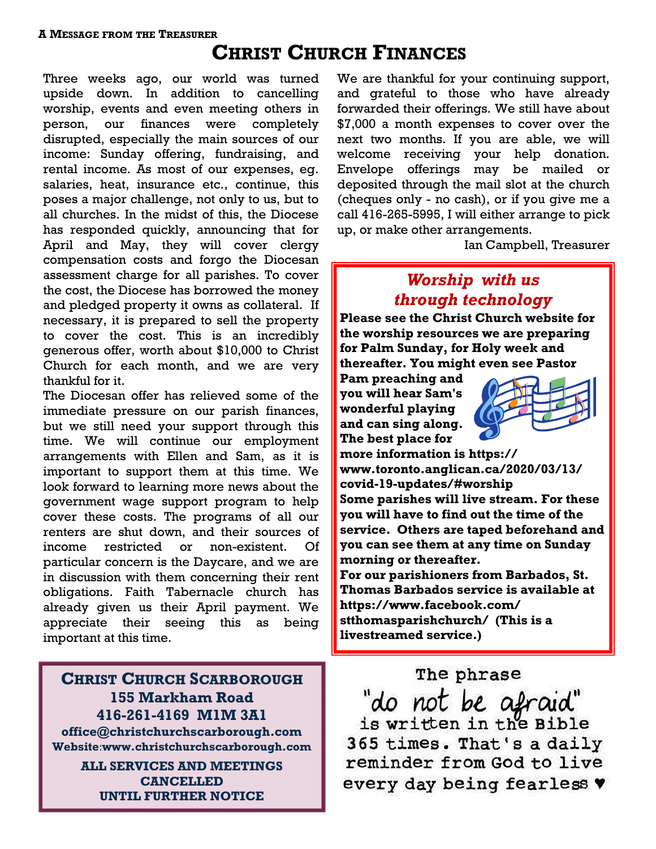# **CHRIST CHURCH FINANCES**

Three weeks ago, our world was turned upside down. In addition to cancelling worship, events and even meeting others in person, our finances were completely disrupted, especially the main sources of our income: Sunday offering, fundraising, and rental income. As most of our expenses, eg. salaries, heat, insurance etc., continue, this poses a major challenge, not only to us, but to all churches. In the midst of this, the Diocese has responded quickly, announcing that for April and May, they will cover clergy compensation costs and forgo the Diocesan assessment charge for all parishes. To cover the cost, the Diocese has borrowed the money and pledged property it owns as collateral. If necessary, it is prepared to sell the property to cover the cost. This is an incredibly generous offer, worth about \$10,000 to Christ Church for each month, and we are very thankful for it.

The Diocesan offer has relieved some of the immediate pressure on our parish finances, but we still need your support through this time. We will continue our employment arrangements with Ellen and Sam, as it is important to support them at this time. We look forward to learning more news about the government wage support program to help cover these costs. The programs of all our renters are shut down, and their sources of income restricted or non-existent. Of particular concern is the Daycare, and we are in discussion with them concerning their rent obligations. Faith Tabernacle church has already given us their April payment. We appreciate their seeing this as being important at this time.

**CHRIST CHURCH SCARBOROUGH 155 Markham Road 416-261-4169 M1M 3A1 office@christchurchscarborough.com Website**:**www.christchurchscarborough.com ALL SERVICES AND MEETINGS CANCELLED** 

**UNTIL FURTHER NOTICE**

We are thankful for your continuing support, and grateful to those who have already forwarded their offerings. We still have about \$7,000 a month expenses to cover over the next two months. If you are able, we will welcome receiving your help donation. Envelope offerings may be mailed or deposited through the mail slot at the church (cheques only - no cash), or if you give me a call 416-265-5995, I will either arrange to pick up, or make other arrangements.

Ian Campbell, Treasurer

# *Worship with us through technology*

**Please see the Christ Church website for the worship resources we are preparing for Palm Sunday, for Holy week and thereafter. You might even see Pastor** 

**Pam preaching and you will hear Sam's wonderful playing and can sing along. The best place for** 



**more information is [https://](https://www.toronto.anglican.ca/2020/03/13/covid-19-updates/#worship) [www.toronto.anglican.ca/2020/03/13/](https://www.toronto.anglican.ca/2020/03/13/covid-19-updates/#worship) [covid-19-updates/#worship](https://www.toronto.anglican.ca/2020/03/13/covid-19-updates/#worship) Some parishes will live stream. For these you will have to find out the time of the service. Others are taped beforehand and you can see them at any time on Sunday morning or thereafter. For our parishioners from Barbados, St.** 

**Thomas Barbados service is available at [https://www.facebook.com/](https://www.facebook.com/stthomasparishchurch/) [stthomasparishchurch/](https://www.facebook.com/stthomasparishchurch/) (This is a livestreamed service.)**

The phrase

"do not be afraid"<br>is written in the Bible 365 times. That's a daily reminder from God to live every day being fearless v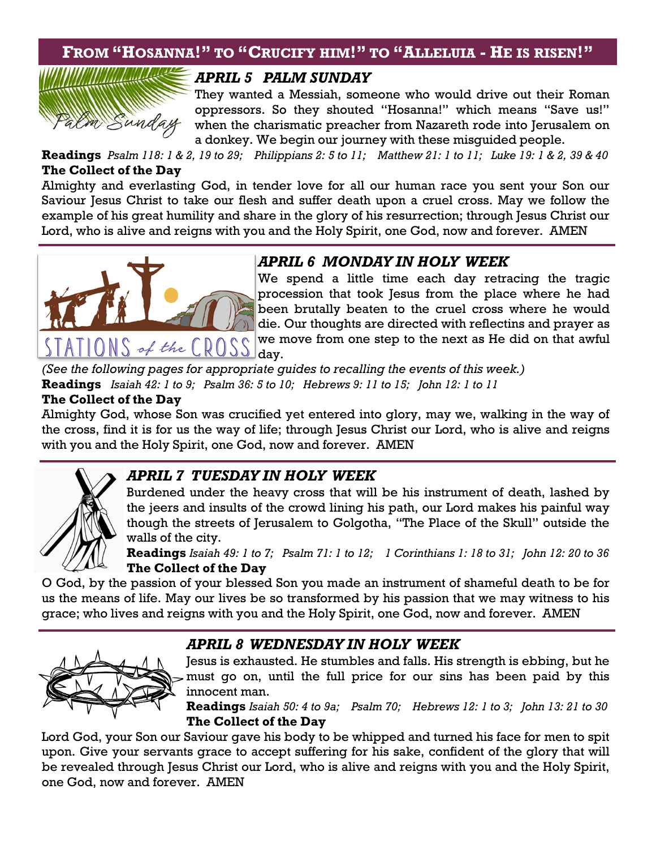## **FROM "HOSANNA!" TO "CRUCIFY HIM!" TO "ALLELUIA - HE IS RISEN!"**



#### *APRIL 5 PALM SUNDAY*

They wanted a Messiah, someone who would drive out their Roman oppressors. So they shouted "Hosanna!" which means "Save us!" when the charismatic preacher from Nazareth rode into Jerusalem on a donkey. We begin our journey with these misguided people.

**Readings** *Psalm 118: 1 & 2, 19 to 29; Philippians 2: 5 to 11; Matthew 21: 1 to 11; Luke 19: 1 & 2, 39 & 40* **The Collect of the Day** 

Almighty and everlasting God, in tender love for all our human race you sent your Son our Saviour Jesus Christ to take our flesh and suffer death upon a cruel cross. May we follow the example of his great humility and share in the glory of his resurrection; through Jesus Christ our Lord, who is alive and reigns with you and the Holy Spirit, one God, now and forever. AMEN



### *APRIL 6 MONDAY IN HOLY WEEK*

We spend a little time each day retracing the tragic procession that took Jesus from the place where he had been brutally beaten to the cruel cross where he would die. Our thoughts are directed with reflectins and prayer as we move from one step to the next as He did on that awful

*(See the following pages for appropriate guides to recalling the events of this week.)*  **Readings** *Isaiah 42: 1 to 9; Psalm 36: 5 to 10; Hebrews 9: 11 to 15; John 12: 1 to 11*

#### **The Collect of the Day**

Almighty God, whose Son was crucified yet entered into glory, may we, walking in the way of the cross, find it is for us the way of life; through Jesus Christ our Lord, who is alive and reigns with you and the Holy Spirit, one God, now and forever. AMEN



#### *APRIL 7 TUESDAY IN HOLY WEEK*

Burdened under the heavy cross that will be his instrument of death, lashed by the jeers and insults of the crowd lining his path, our Lord makes his painful way though the streets of Jerusalem to Golgotha, "The Place of the Skull" outside the walls of the city.

**Readings** *Isaiah 49: 1 to 7; Psalm 71: 1 to 12; 1 Corinthians 1: 18 to 31; John 12: 20 to 36* **The Collect of the Day** 

O God, by the passion of your blessed Son you made an instrument of shameful death to be for us the means of life. May our lives be so transformed by his passion that we may witness to his grace; who lives and reigns with you and the Holy Spirit, one God, now and forever. AMEN

#### *APRIL 8 WEDNESDAY IN HOLY WEEK*



Jesus is exhausted. He stumbles and falls. His strength is ebbing, but he must go on, until the full price for our sins has been paid by this innocent man.

**Readings** *Isaiah 50: 4 to 9a; Psalm 70; Hebrews 12: 1 to 3; John 13: 21 to 30*  **The Collect of the Day** 

Lord God, your Son our Saviour gave his body to be whipped and turned his face for men to spit upon. Give your servants grace to accept suffering for his sake, confident of the glory that will be revealed through Jesus Christ our Lord, who is alive and reigns with you and the Holy Spirit, one God, now and forever. AMEN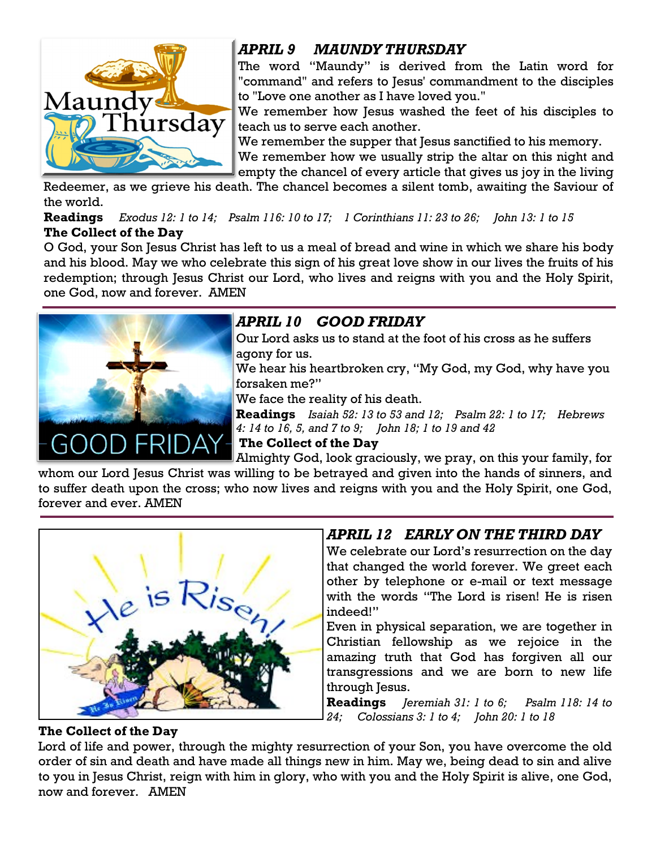

# *APRIL 9 MAUNDY THURSDAY*

The word "Maundy" is derived from the Latin word for "command" and refers to Jesus' commandment to the disciples to "Love one another as I have loved you."

We remember how Jesus washed the feet of his disciples to teach us to serve each another.

We remember the supper that Jesus sanctified to his memory.

We remember how we usually strip the altar on this night and empty the chancel of every article that gives us joy in the living

Redeemer, as we grieve his death. The chancel becomes a silent tomb, awaiting the Saviour of the world.

**Readings** *Exodus 12: 1 to 14; Psalm 116: 10 to 17; 1 Corinthians 11: 23 to 26; John 13: 1 to 15* **The Collect of the Day** 

O God, your Son Jesus Christ has left to us a meal of bread and wine in which we share his body and his blood. May we who celebrate this sign of his great love show in our lives the fruits of his redemption; through Jesus Christ our Lord, who lives and reigns with you and the Holy Spirit, one God, now and forever. AMEN



# *APRIL 10 GOOD FRIDAY*

Our Lord asks us to stand at the foot of his cross as he suffers agony for us.

We hear his heartbroken cry, "My God, my God, why have you forsaken me?"

We face the reality of his death.

**Readings** *Isaiah 52: 13 to 53 and 12; Psalm 22: 1 to 17; Hebrews 4: 14 to 16, 5, and 7 to 9; John 18; 1 to 19 and 42*

**The Collect of the Day** 

Almighty God, look graciously, we pray, on this your family, for whom our Lord Jesus Christ was willing to be betrayed and given into the hands of sinners, and to suffer death upon the cross; who now lives and reigns with you and the Holy Spirit, one God,

forever and ever. AMEN



# *APRIL 12**EARLY ON THE THIRD DAY*

We celebrate our Lord's resurrection on the day that changed the world forever. We greet each other by telephone or e-mail or text message with the words "The Lord is risen! He is risen indeed!"

Even in physical separation, we are together in Christian fellowship as we rejoice in the amazing truth that God has forgiven all our transgressions and we are born to new life through Jesus.

**Readings** *Jeremiah 31: 1 to 6; Psalm 118: 14 to 24; Colossians 3: 1 to 4; John 20: 1 to 18*

#### **The Collect of the Day**

Lord of life and power, through the mighty resurrection of your Son, you have overcome the old order of sin and death and have made all things new in him. May we, being dead to sin and alive to you in Jesus Christ, reign with him in glory, who with you and the Holy Spirit is alive, one God, now and forever. AMEN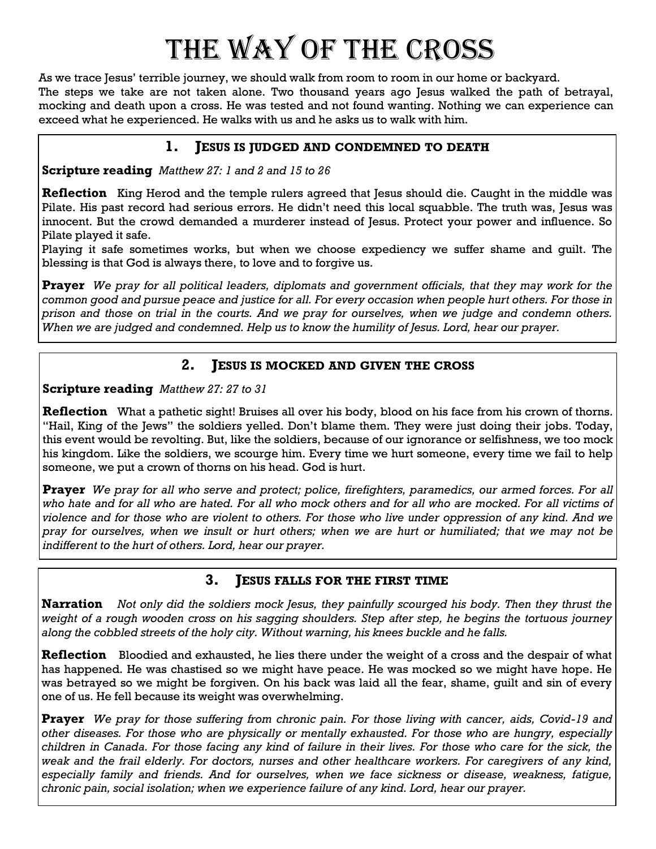# The way of the Cross

As we trace Jesus' terrible journey, we should walk from room to room in our home or backyard. The steps we take are not taken alone. Two thousand years ago Jesus walked the path of betrayal, mocking and death upon a cross. He was tested and not found wanting. Nothing we can experience can exceed what he experienced. He walks with us and he asks us to walk with him.

#### **1. JESUS IS JUDGED AND CONDEMNED TO DEATH**

**Scripture reading** *Matthew 27: 1 and 2 and 15 to 26*

**Reflection** King Herod and the temple rulers agreed that Jesus should die. Caught in the middle was Pilate. His past record had serious errors. He didn't need this local squabble. The truth was, Jesus was innocent. But the crowd demanded a murderer instead of Jesus. Protect your power and influence. So Pilate played it safe.

Playing it safe sometimes works, but when we choose expediency we suffer shame and guilt. The blessing is that God is always there, to love and to forgive us.

**Prayer** *We pray for all political leaders, diplomats and government officials, that they may work for the common good and pursue peace and justice for all. For every occasion when people hurt others. For those in prison and those on trial in the courts. And we pray for ourselves, when we judge and condemn others. When we are judged and condemned. Help us to know the humility of Jesus. Lord, hear our prayer.*

#### **2. JESUS IS MOCKED AND GIVEN THE CROSS**

**Scripture reading** *Matthew 27: 27 to 31*

**Reflection** What a pathetic sight! Bruises all over his body, blood on his face from his crown of thorns. "Hail, King of the Jews" the soldiers yelled. Don't blame them. They were just doing their jobs. Today, this event would be revolting. But, like the soldiers, because of our ignorance or selfishness, we too mock his kingdom. Like the soldiers, we scourge him. Every time we hurt someone, every time we fail to help someone, we put a crown of thorns on his head. God is hurt.

**Prayer** *We pray for all who serve and protect; police, firefighters, paramedics, our armed forces. For all who hate and for all who are hated. For all who mock others and for all who are mocked. For all victims of violence and for those who are violent to others. For those who live under oppression of any kind. And we pray for ourselves, when we insult or hurt others; when we are hurt or humiliated; that we may not be indifferent to the hurt of others. Lord, hear our prayer.*

#### **3. JESUS FALLS FOR THE FIRST TIME**

**Narration** *Not only did the soldiers mock Jesus, they painfully scourged his body. Then they thrust the weight of a rough wooden cross on his sagging shoulders. Step after step, he begins the tortuous journey along the cobbled streets of the holy city. Without warning, his knees buckle and he falls.*

**Reflection** Bloodied and exhausted, he lies there under the weight of a cross and the despair of what has happened. He was chastised so we might have peace. He was mocked so we might have hope. He was betrayed so we might be forgiven. On his back was laid all the fear, shame, guilt and sin of every one of us. He fell because its weight was overwhelming.

**Prayer** *We pray for those suffering from chronic pain. For those living with cancer, aids, Covid-19 and other diseases. For those who are physically or mentally exhausted. For those who are hungry, especially children in Canada. For those facing any kind of failure in their lives. For those who care for the sick, the weak and the frail elderly. For doctors, nurses and other healthcare workers. For caregivers of any kind, especially family and friends. And for ourselves, when we face sickness or disease, weakness, fatigue, chronic pain, social isolation; when we experience failure of any kind. Lord, hear our prayer.*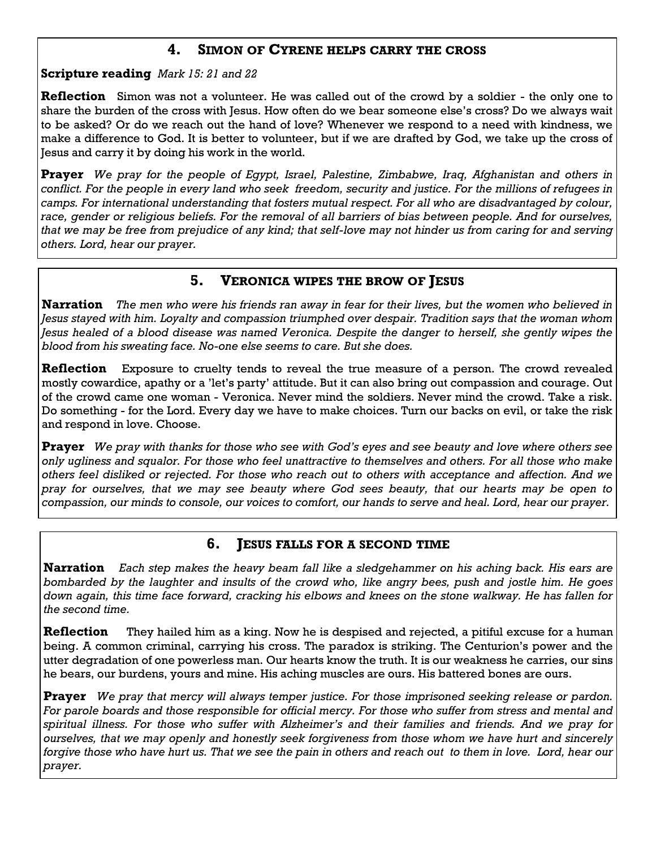#### **4. SIMON OF CYRENE HELPS CARRY THE CROSS**

**Scripture reading** *Mark 15: 21 and 22*

**Reflection** Simon was not a volunteer. He was called out of the crowd by a soldier - the only one to share the burden of the cross with Jesus. How often do we bear someone else's cross? Do we always wait to be asked? Or do we reach out the hand of love? Whenever we respond to a need with kindness, we make a difference to God. It is better to volunteer, but if we are drafted by God, we take up the cross of Jesus and carry it by doing his work in the world.

**Prayer** *We pray for the people of Egypt, Israel, Palestine, Zimbabwe, Iraq, Afghanistan and others in conflict. For the people in every land who seek freedom, security and justice. For the millions of refugees in camps. For international understanding that fosters mutual respect. For all who are disadvantaged by colour,*  race, gender or religious beliefs. For the removal of all barriers of bias between people. And for ourselves, *that we may be free from prejudice of any kind; that self-love may not hinder us from caring for and serving others. Lord, hear our prayer.*

#### **5. VERONICA WIPES THE BROW OF JESUS**

**Narration** *The men who were his friends ran away in fear for their lives, but the women who believed in Jesus stayed with him. Loyalty and compassion triumphed over despair. Tradition says that the woman whom*  Jesus healed of a blood disease was named Veronica. Despite the danger to herself, she gently wipes the *blood from his sweating face. No-one else seems to care. But she does.*

**Reflection** Exposure to cruelty tends to reveal the true measure of a person. The crowd revealed mostly cowardice, apathy or a 'let's party' attitude. But it can also bring out compassion and courage. Out of the crowd came one woman - Veronica. Never mind the soldiers. Never mind the crowd. Take a risk. Do something - for the Lord. Every day we have to make choices. Turn our backs on evil, or take the risk and respond in love. Choose.

**Prayer** *We pray with thanks for those who see with God's eyes and see beauty and love where others see only ugliness and squalor. For those who feel unattractive to themselves and others. For all those who make others feel disliked or rejected. For those who reach out to others with acceptance and affection. And we pray for ourselves, that we may see beauty where God sees beauty, that our hearts may be open to compassion, our minds to console, our voices to comfort, our hands to serve and heal. Lord, hear our prayer.*

#### **6. JESUS FALLS FOR A SECOND TIME**

**Narration** *Each step makes the heavy beam fall like a sledgehammer on his aching back. His ears are bombarded by the laughter and insults of the crowd who, like angry bees, push and jostle him. He goes down again, this time face forward, cracking his elbows and knees on the stone walkway. He has fallen for the second time.*

**Reflection** They hailed him as a king. Now he is despised and rejected, a pitiful excuse for a human being. A common criminal, carrying his cross. The paradox is striking. The Centurion's power and the utter degradation of one powerless man. Our hearts know the truth. It is our weakness he carries, our sins he bears, our burdens, yours and mine. His aching muscles are ours. His battered bones are ours.

**Prayer** *We pray that mercy will always temper justice. For those imprisoned seeking release or pardon. For parole boards and those responsible for official mercy. For those who suffer from stress and mental and spiritual illness. For those who suffer with Alzheimer's and their families and friends. And we pray for ourselves, that we may openly and honestly seek forgiveness from those whom we have hurt and sincerely forgive those who have hurt us. That we see the pain in others and reach out to them in love. Lord, hear our prayer.*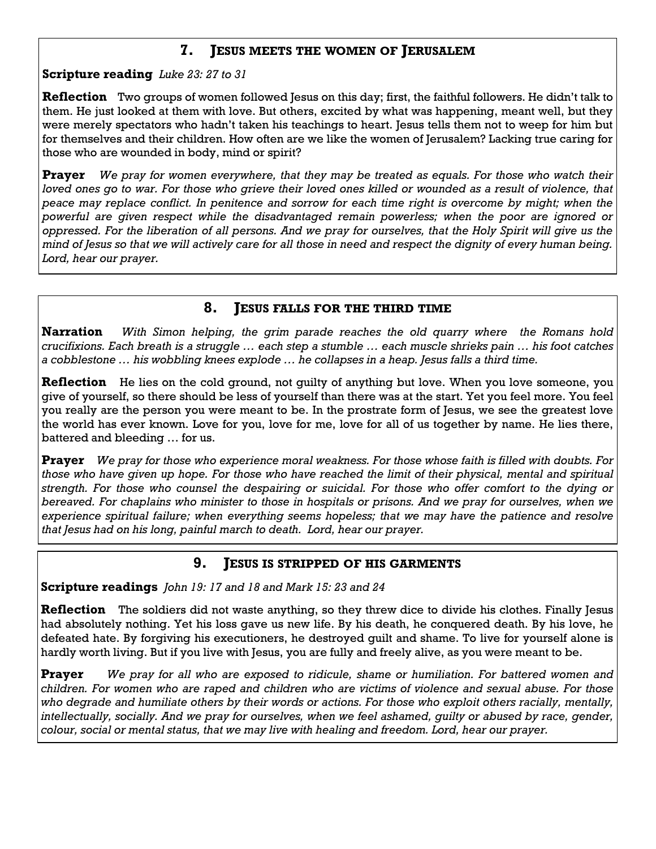#### **7. JESUS MEETS THE WOMEN OF JERUSALEM**

**Scripture reading** *Luke 23: 27 to 31*

**Reflection** Two groups of women followed Jesus on this day; first, the faithful followers. He didn't talk to them. He just looked at them with love. But others, excited by what was happening, meant well, but they were merely spectators who hadn't taken his teachings to heart. Jesus tells them not to weep for him but for themselves and their children. How often are we like the women of Jerusalem? Lacking true caring for those who are wounded in body, mind or spirit?

**Prayer** *We pray for women everywhere, that they may be treated as equals. For those who watch their*  loved ones go to war. For those who grieve their loved ones killed or wounded as a result of violence, that *peace may replace conflict. In penitence and sorrow for each time right is overcome by might; when the powerful are given respect while the disadvantaged remain powerless; when the poor are ignored or oppressed. For the liberation of all persons. And we pray for ourselves, that the Holy Spirit will give us the mind of Jesus so that we will actively care for all those in need and respect the dignity of every human being. Lord, hear our prayer.*

#### **8. JESUS FALLS FOR THE THIRD TIME**

**Narration** *With Simon helping, the grim parade reaches the old quarry where the Romans hold crucifixions. Each breath is a struggle … each step a stumble … each muscle shrieks pain … his foot catches a cobblestone … his wobbling knees explode … he collapses in a heap. Jesus falls a third time.*

**Reflection** He lies on the cold ground, not guilty of anything but love. When you love someone, you give of yourself, so there should be less of yourself than there was at the start. Yet you feel more. You feel you really are the person you were meant to be. In the prostrate form of Jesus, we see the greatest love the world has ever known. Love for you, love for me, love for all of us together by name. He lies there, battered and bleeding … for us.

**Prayer** *We pray for those who experience moral weakness. For those whose faith is filled with doubts. For those who have given up hope. For those who have reached the limit of their physical, mental and spiritual strength. For those who counsel the despairing or suicidal. For those who offer comfort to the dying or bereaved. For chaplains who minister to those in hospitals or prisons. And we pray for ourselves, when we experience spiritual failure; when everything seems hopeless; that we may have the patience and resolve that Jesus had on his long, painful march to death. Lord, hear our prayer.*

#### **9. JESUS IS STRIPPED OF HIS GARMENTS**

**Scripture readings** *John 19: 17 and 18 and Mark 15: 23 and 24*

**Reflection** The soldiers did not waste anything, so they threw dice to divide his clothes. Finally Jesus had absolutely nothing. Yet his loss gave us new life. By his death, he conquered death. By his love, he defeated hate. By forgiving his executioners, he destroyed guilt and shame. To live for yourself alone is hardly worth living. But if you live with Jesus, you are fully and freely alive, as you were meant to be.

**Prayer** *We pray for all who are exposed to ridicule, shame or humiliation. For battered women and children. For women who are raped and children who are victims of violence and sexual abuse. For those who degrade and humiliate others by their words or actions. For those who exploit others racially, mentally, intellectually, socially. And we pray for ourselves, when we feel ashamed, guilty or abused by race, gender, colour, social or mental status, that we may live with healing and freedom. Lord, hear our prayer.*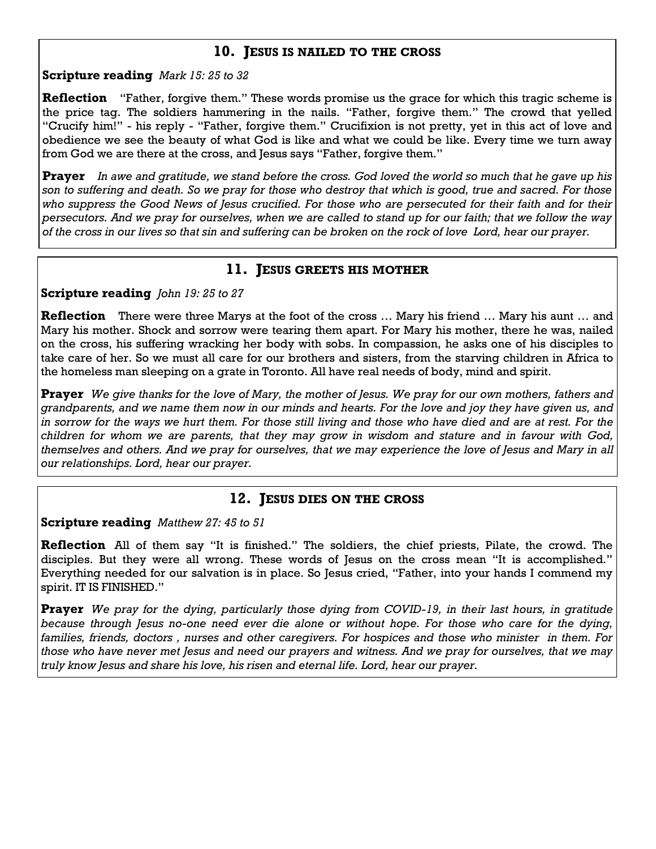#### **10. JESUS IS NAILED TO THE CROSS**

#### **Scripture reading** *Mark 15: 25 to 32*

**Reflection** "Father, forgive them." These words promise us the grace for which this tragic scheme is the price tag. The soldiers hammering in the nails. "Father, forgive them." The crowd that yelled "Crucify him!" - his reply - "Father, forgive them." Crucifixion is not pretty, yet in this act of love and obedience we see the beauty of what God is like and what we could be like. Every time we turn away from God we are there at the cross, and Jesus says "Father, forgive them."

**Prayer** *In awe and gratitude, we stand before the cross. God loved the world so much that he gave up his son to suffering and death. So we pray for those who destroy that which is good, true and sacred. For those who suppress the Good News of Jesus crucified. For those who are persecuted for their faith and for their persecutors. And we pray for ourselves, when we are called to stand up for our faith; that we follow the way of the cross in our lives so that sin and suffering can be broken on the rock of love Lord, hear our prayer.*

#### **11. JESUS GREETS HIS MOTHER**

**Scripture reading** *John 19: 25 to 27*

**Reflection** There were three Marys at the foot of the cross ... Mary his friend ... Mary his aunt ... and Mary his mother. Shock and sorrow were tearing them apart. For Mary his mother, there he was, nailed on the cross, his suffering wracking her body with sobs. In compassion, he asks one of his disciples to take care of her. So we must all care for our brothers and sisters, from the starving children in Africa to the homeless man sleeping on a grate in Toronto. All have real needs of body, mind and spirit.

**Prayer** *We give thanks for the love of Mary, the mother of Jesus. We pray for our own mothers, fathers and grandparents, and we name them now in our minds and hearts. For the love and joy they have given us, and in sorrow for the ways we hurt them. For those still living and those who have died and are at rest. For the children for whom we are parents, that they may grow in wisdom and stature and in favour with God, themselves and others. And we pray for ourselves, that we may experience the love of Jesus and Mary in all our relationships. Lord, hear our prayer.*

#### **12. JESUS DIES ON THE CROSS**

**Scripture reading** *Matthew 27: 45 to 51*

**Reflection** All of them say "It is finished." The soldiers, the chief priests, Pilate, the crowd. The disciples. But they were all wrong. These words of Jesus on the cross mean "It is accomplished." Everything needed for our salvation is in place. So Jesus cried, "Father, into your hands I commend my spirit. IT IS FINISHED."

**Prayer** *We pray for the dying, particularly those dying from COVID-19, in their last hours, in gratitude because through Jesus no-one need ever die alone or without hope. For those who care for the dying, families, friends, doctors , nurses and other caregivers. For hospices and those who minister in them. For those who have never met Jesus and need our prayers and witness. And we pray for ourselves, that we may truly know Jesus and share his love, his risen and eternal life. Lord, hear our prayer.*